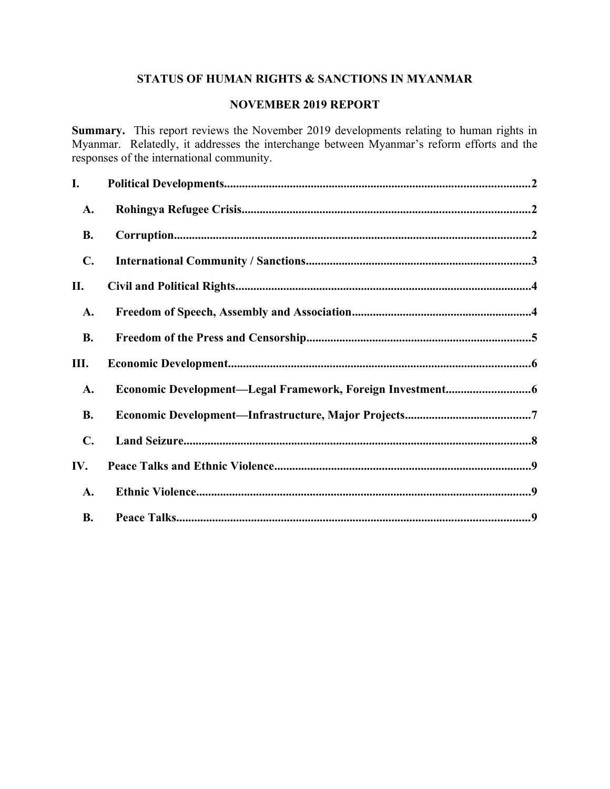# **STATUS OF HUMAN RIGHTS & SANCTIONS IN MYANMAR**

### **NOVEMBER 2019 REPORT**

**Summary.** This report reviews the November 2019 developments relating to human rights in Myanmar. Relatedly, it addresses the interchange between Myanmar's reform efforts and the responses of the international community.

| I.             |  |
|----------------|--|
| A.             |  |
| <b>B.</b>      |  |
| $\mathbf{C}$ . |  |
| П.             |  |
| A.             |  |
| <b>B.</b>      |  |
| Ш.             |  |
| A.             |  |
| <b>B.</b>      |  |
| $\mathbf{C}$ . |  |
| IV.            |  |
| A.             |  |
| <b>B.</b>      |  |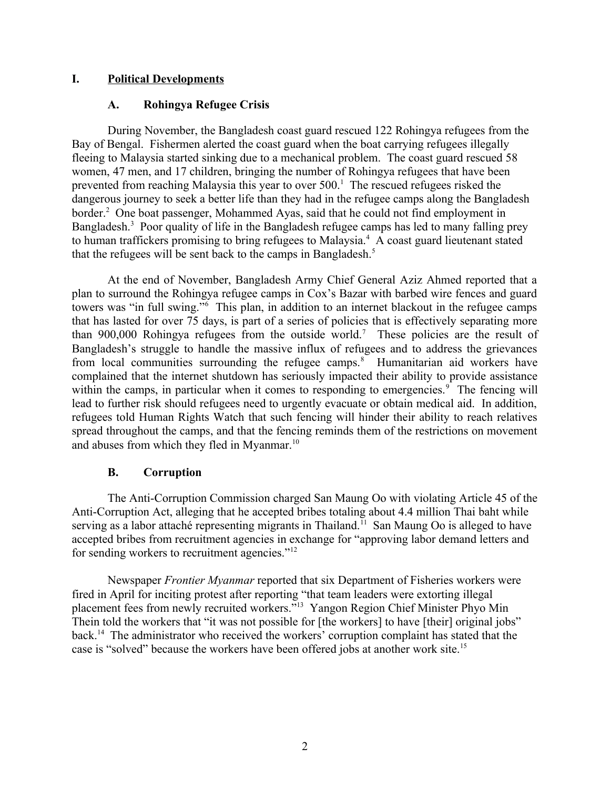#### **I. Political Developments**

#### <span id="page-1-2"></span><span id="page-1-0"></span>**A. Rohingya Refugee Crisis**

During November, the Bangladesh coast guard rescued 122 Rohingya refugees from the Bay of Bengal. Fishermen alerted the coast guard when the boat carrying refugees illegally fleeing to Malaysia started sinking due to a mechanical problem. The coast guard rescued 58 women, 47 men, and 17 children, bringing the number of Rohingya refugees that have been prevented from reaching Malaysia this year to over  $500<sup>1</sup>$ . The rescued refugees risked the dangerous journey to seek a better life than they had in the refugee camps along the Bangladesh border.<sup>2</sup> One boat passenger, Mohammed Ayas, said that he could not find employment in Bangladesh.<sup>3</sup> Poor quality of life in the Bangladesh refugee camps has led to many falling prey to human traffickers promising to bring refugees to Malaysia.<sup>4</sup> A coast guard lieutenant stated that the refugees will be sent back to the camps in Bangladesh.<sup>5</sup>

At the end of November, Bangladesh Army Chief General Aziz Ahmed reported that a plan to surround the Rohingya refugee camps in Cox's Bazar with barbed wire fences and guard towers was "in full swing."<sup>6</sup> This plan, in addition to an internet blackout in the refugee camps that has lasted for over 75 days, is part of a series of policies that is effectively separating more than 900,000 Rohingya refugees from the outside world.<sup>7</sup> These policies are the result of Bangladesh's struggle to handle the massive influx of refugees and to address the grievances from local communities surrounding the refugee camps.<sup>8</sup> Humanitarian aid workers have complained that the internet shutdown has seriously impacted their ability to provide assistance within the camps, in particular when it comes to responding to emergencies.<sup>9</sup> The fencing will lead to further risk should refugees need to urgently evacuate or obtain medical aid. In addition, refugees told Human Rights Watch that such fencing will hinder their ability to reach relatives spread throughout the camps, and that the fencing reminds them of the restrictions on movement and abuses from which they fled in Myanmar.<sup>10</sup>

### <span id="page-1-1"></span>**B. Corruption**

The Anti-Corruption Commission charged San Maung Oo with violating Article 45 of the Anti-Corruption Act, alleging that he accepted bribes totaling about 4.4 million Thai baht while serving as a labor attaché representing migrants in Thailand.<sup>11</sup> San Maung Oo is alleged to have accepted bribes from recruitment agencies in exchange for "approving labor demand letters and for sending workers to recruitment agencies."<sup>12</sup>

Newspaper *Frontier Myanmar* reported that six Department of Fisheries workers were fired in April for inciting protest after reporting "that team leaders were extorting illegal placement fees from newly recruited workers."<sup>13</sup> Yangon Region Chief Minister Phyo Min Thein told the workers that "it was not possible for [the workers] to have [their] original jobs" back.<sup>14</sup> The administrator who received the workers' corruption complaint has stated that the case is "solved" because the workers have been offered jobs at another work site.<sup>15</sup>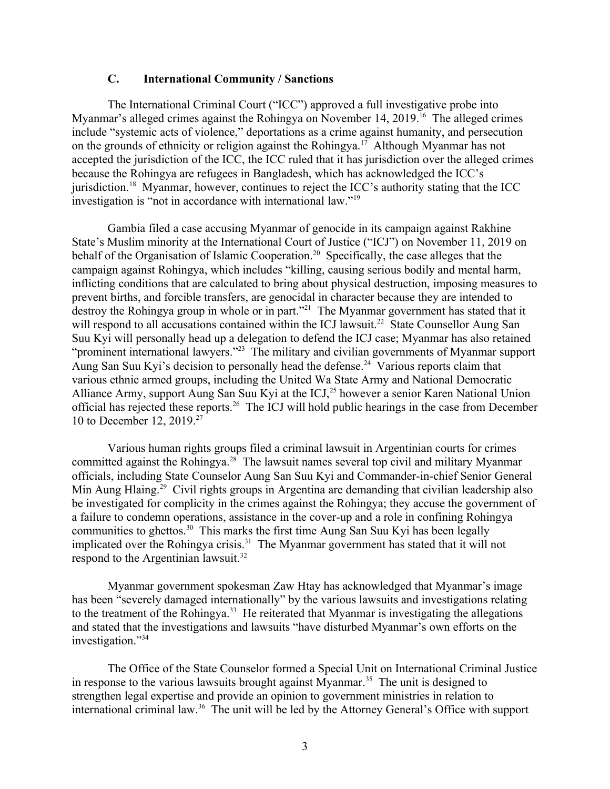#### <span id="page-2-0"></span>**C. International Community / Sanctions**

The International Criminal Court ("ICC") approved a full investigative probe into Myanmar's alleged crimes against the Rohingya on November 14, 2019.<sup>16</sup> The alleged crimes include "systemic acts of violence," deportations as a crime against humanity, and persecution on the grounds of ethnicity or religion against the Rohingya.<sup>17</sup> Although Myanmar has not accepted the jurisdiction of the ICC, the ICC ruled that it has jurisdiction over the alleged crimes because the Rohingya are refugees in Bangladesh, which has acknowledged the ICC's jurisdiction.<sup>18</sup> Myanmar, however, continues to reject the ICC's authority stating that the ICC investigation is "not in accordance with international law."<sup>19</sup>

Gambia filed a case accusing Myanmar of genocide in its campaign against Rakhine State's Muslim minority at the International Court of Justice ("ICJ") on November 11, 2019 on behalf of the Organisation of Islamic Cooperation.<sup>20</sup> Specifically, the case alleges that the campaign against Rohingya, which includes "killing, causing serious bodily and mental harm, inflicting conditions that are calculated to bring about physical destruction, imposing measures to prevent births, and forcible transfers, are genocidal in character because they are intended to destroy the Rohingya group in whole or in part."<sup>21</sup> The Myanmar government has stated that it will respond to all accusations contained within the ICJ lawsuit.<sup>22</sup> State Counsellor Aung San Suu Kyi will personally head up a delegation to defend the ICJ case; Myanmar has also retained "prominent international lawyers."<sup>23</sup> The military and civilian governments of Myanmar support Aung San Suu Kyi's decision to personally head the defense.<sup>24</sup> Various reports claim that various ethnic armed groups, including the United Wa State Army and National Democratic Alliance Army, support Aung San Suu Kyi at the ICJ,<sup>25</sup> however a senior Karen National Union official has rejected these reports.<sup>26</sup> The ICJ will hold public hearings in the case from December 10 to December 12, 2019.<sup>27</sup>

Various human rights groups filed a criminal lawsuit in Argentinian courts for crimes committed against the Rohingya.<sup>28</sup> The lawsuit names several top civil and military Myanmar officials, including State Counselor Aung San Suu Kyi and Commander-in-chief Senior General Min Aung Hlaing.<sup>29</sup> Civil rights groups in Argentina are demanding that civilian leadership also be investigated for complicity in the crimes against the Rohingya; they accuse the government of a failure to condemn operations, assistance in the cover-up and a role in confining Rohingya communities to ghettos.<sup>30</sup> This marks the first time Aung San Suu Kyi has been legally implicated over the Rohingya crisis.<sup>31</sup> The Myanmar government has stated that it will not respond to the Argentinian lawsuit.<sup>32</sup>

Myanmar government spokesman Zaw Htay has acknowledged that Myanmar's image has been "severely damaged internationally" by the various lawsuits and investigations relating to the treatment of the Rohingya.<sup>33</sup> He reiterated that Myanmar is investigating the allegations and stated that the investigations and lawsuits "have disturbed Myanmar's own efforts on the investigation."<sup>34</sup>

The Office of the State Counselor formed a Special Unit on International Criminal Justice in response to the various lawsuits brought against Myanmar.<sup>35</sup> The unit is designed to strengthen legal expertise and provide an opinion to government ministries in relation to international criminal law.<sup>36</sup> The unit will be led by the Attorney General's Office with support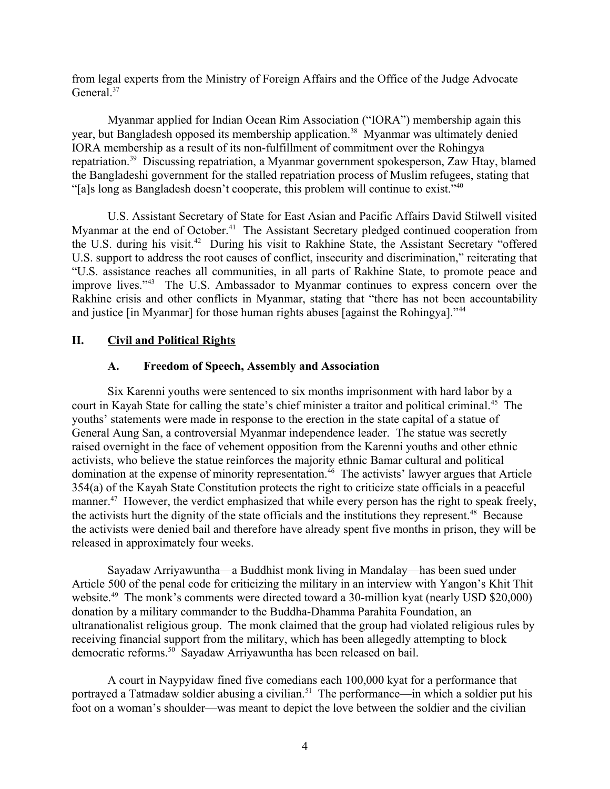from legal experts from the Ministry of Foreign Affairs and the Office of the Judge Advocate General.<sup>37</sup>

Myanmar applied for Indian Ocean Rim Association ("IORA") membership again this year, but Bangladesh opposed its membership application.<sup>38</sup> Myanmar was ultimately denied IORA membership as a result of its non-fulfillment of commitment over the Rohingya repatriation.<sup>39</sup> Discussing repatriation, a Myanmar government spokesperson, Zaw Htay, blamed the Bangladeshi government for the stalled repatriation process of Muslim refugees, stating that "[a]s long as Bangladesh doesn't cooperate, this problem will continue to exist."<sup>40</sup>

U.S. Assistant Secretary of State for East Asian and Pacific Affairs David Stilwell visited Myanmar at the end of October.<sup>41</sup> The Assistant Secretary pledged continued cooperation from the U.S. during his visit.<sup>42</sup> During his visit to Rakhine State, the Assistant Secretary "offered U.S. support to address the root causes of conflict, insecurity and discrimination," reiterating that "U.S. assistance reaches all communities, in all parts of Rakhine State, to promote peace and improve lives."<sup>43</sup> The U.S. Ambassador to Myanmar continues to express concern over the Rakhine crisis and other conflicts in Myanmar, stating that "there has not been accountability and justice [in Myanmar] for those human rights abuses [against the Rohingya]."<sup>44</sup>

### **II. Civil and Political Rights**

#### <span id="page-3-1"></span><span id="page-3-0"></span>**A. Freedom of Speech, Assembly and Association**

Six Karenni youths were sentenced to six months imprisonment with hard labor by a court in Kayah State for calling the state's chief minister a traitor and political criminal.<sup>45</sup> The youths' statements were made in response to the erection in the state capital of a statue of General Aung San, a controversial Myanmar independence leader. The statue was secretly raised overnight in the face of vehement opposition from the Karenni youths and other ethnic activists, who believe the statue reinforces the majority ethnic Bamar cultural and political domination at the expense of minority representation.<sup>46</sup> The activists' lawyer argues that Article 354(a) of the Kayah State Constitution protects the right to criticize state officials in a peaceful manner.<sup>47</sup> However, the verdict emphasized that while every person has the right to speak freely, the activists hurt the dignity of the state officials and the institutions they represent.<sup>48</sup> Because the activists were denied bail and therefore have already spent five months in prison, they will be released in approximately four weeks.

Sayadaw Arriyawuntha—a Buddhist monk living in Mandalay—has been sued under Article 500 of the penal code for criticizing the military in an interview with Yangon's Khit Thit website.<sup>49</sup> The monk's comments were directed toward a 30-million kyat (nearly USD \$20,000) donation by a military commander to the Buddha-Dhamma Parahita Foundation, an ultranationalist religious group. The monk claimed that the group had violated religious rules by receiving financial support from the military, which has been allegedly attempting to block democratic reforms.<sup>50</sup> Sayadaw Arriyawuntha has been released on bail.

A court in Naypyidaw fined five comedians each 100,000 kyat for a performance that portrayed a Tatmadaw soldier abusing a civilian.<sup>51</sup> The performance—in which a soldier put his foot on a woman's shoulder—was meant to depict the love between the soldier and the civilian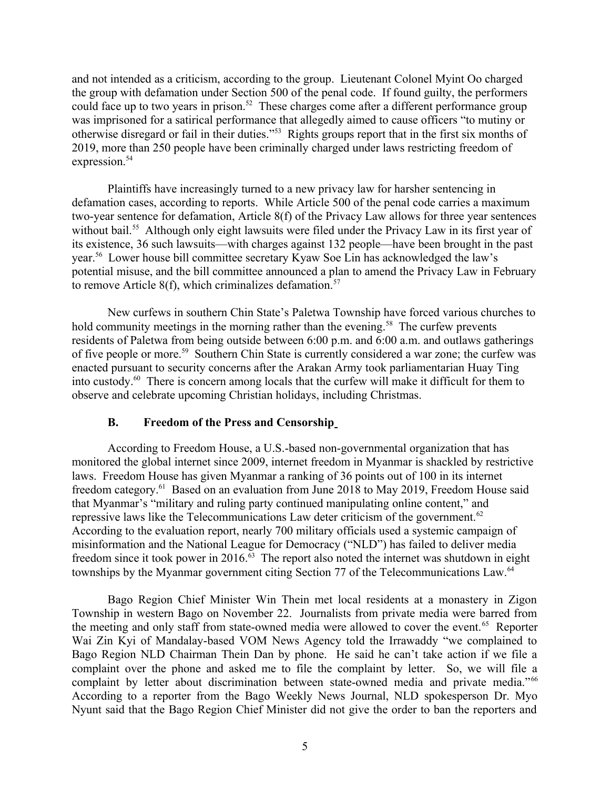and not intended as a criticism, according to the group. Lieutenant Colonel Myint Oo charged the group with defamation under Section 500 of the penal code. If found guilty, the performers could face up to two years in prison.<sup>52</sup> These charges come after a different performance group was imprisoned for a satirical performance that allegedly aimed to cause officers "to mutiny or otherwise disregard or fail in their duties."<sup>53</sup> Rights groups report that in the first six months of 2019, more than 250 people have been criminally charged under laws restricting freedom of expression.<sup>54</sup>

Plaintiffs have increasingly turned to a new privacy law for harsher sentencing in defamation cases, according to reports. While Article 500 of the penal code carries a maximum two-year sentence for defamation, Article 8(f) of the Privacy Law allows for three year sentences without bail.<sup>55</sup> Although only eight lawsuits were filed under the Privacy Law in its first year of its existence, 36 such lawsuits—with charges against 132 people—have been brought in the past year.<sup>56</sup> Lower house bill committee secretary Kyaw Soe Lin has acknowledged the law's potential misuse, and the bill committee announced a plan to amend the Privacy Law in February to remove Article 8(f), which criminalizes defamation.<sup>57</sup>

New curfews in southern Chin State's Paletwa Township have forced various churches to hold community meetings in the morning rather than the evening.<sup>58</sup> The curfew prevents residents of Paletwa from being outside between 6:00 p.m. and 6:00 a.m. and outlaws gatherings of five people or more.<sup>59</sup> Southern Chin State is currently considered a war zone; the curfew was enacted pursuant to security concerns after the Arakan Army took parliamentarian Huay Ting into custody.<sup>60</sup> There is concern among locals that the curfew will make it difficult for them to observe and celebrate upcoming Christian holidays, including Christmas.

#### <span id="page-4-0"></span>**B. Freedom of the Press and Censorship**

According to Freedom House, a U.S.-based non-governmental organization that has monitored the global internet since 2009, internet freedom in Myanmar is shackled by restrictive laws. Freedom House has given Myanmar a ranking of 36 points out of 100 in its internet freedom category.<sup>61</sup> Based on an evaluation from June 2018 to May 2019, Freedom House said that Myanmar's "military and ruling party continued manipulating online content," and repressive laws like the Telecommunications Law deter criticism of the government.<sup>62</sup> According to the evaluation report, nearly 700 military officials used a systemic campaign of misinformation and the National League for Democracy ("NLD") has failed to deliver media freedom since it took power in 2016. $\frac{63}{10}$  The report also noted the internet was shutdown in eight townships by the Myanmar government citing Section 77 of the Telecommunications Law.<sup>64</sup>

Bago Region Chief Minister Win Thein met local residents at a monastery in Zigon Township in western Bago on November 22. Journalists from private media were barred from the meeting and only staff from state-owned media were allowed to cover the event.<sup>65</sup> Reporter Wai Zin Kyi of Mandalay-based VOM News Agency told the Irrawaddy "we complained to Bago Region NLD Chairman Thein Dan by phone. He said he can't take action if we file a complaint over the phone and asked me to file the complaint by letter. So, we will file a complaint by letter about discrimination between state-owned media and private media."<sup>66</sup> According to a reporter from the Bago Weekly News Journal, NLD spokesperson Dr. Myo Nyunt said that the Bago Region Chief Minister did not give the order to ban the reporters and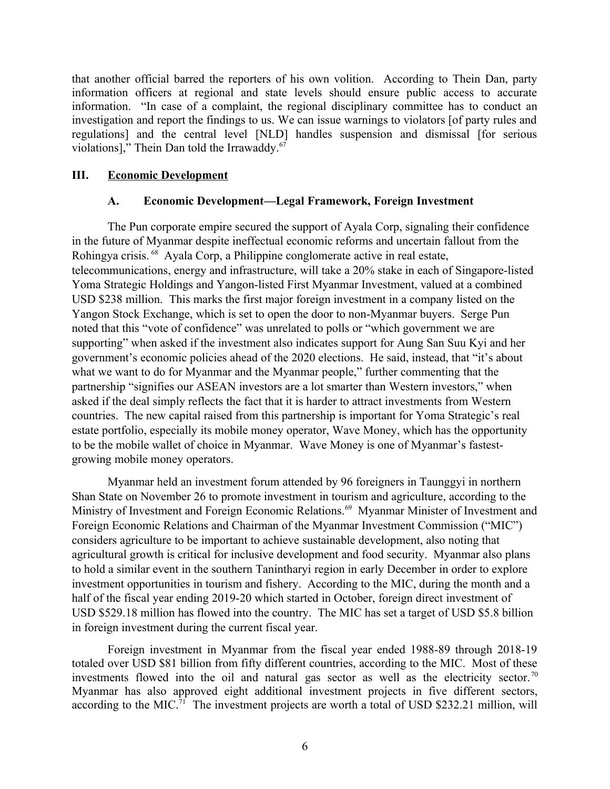that another official barred the reporters of his own volition. According to Thein Dan, party information officers at regional and state levels should ensure public access to accurate information. "In case of a complaint, the regional disciplinary committee has to conduct an investigation and report the findings to us. We can issue warnings to violators [of party rules and regulations] and the central level [NLD] handles suspension and dismissal [for serious violations]," Thein Dan told the Irrawaddy.<sup>67</sup>

#### **III. Economic Development**

#### <span id="page-5-1"></span><span id="page-5-0"></span>**A. Economic Development—Legal Framework, Foreign Investment**

The Pun corporate empire secured the support of Ayala Corp, signaling their confidence in the future of Myanmar despite ineffectual economic reforms and uncertain fallout from the Rohingya crisis. <sup>68</sup> Ayala Corp, a Philippine conglomerate active in real estate, telecommunications, energy and infrastructure, will take a 20% stake in each of Singapore-listed Yoma Strategic Holdings and Yangon-listed First Myanmar Investment, valued at a combined USD \$238 million. This marks the first major foreign investment in a company listed on the Yangon Stock Exchange, which is set to open the door to non-Myanmar buyers. Serge Pun noted that this "vote of confidence" was unrelated to polls or "which government we are supporting" when asked if the investment also indicates support for Aung San Suu Kyi and her government's economic policies ahead of the 2020 elections. He said, instead, that "it's about what we want to do for Myanmar and the Myanmar people," further commenting that the partnership "signifies our ASEAN investors are a lot smarter than Western investors," when asked if the deal simply reflects the fact that it is harder to attract investments from Western countries. The new capital raised from this partnership is important for Yoma Strategic's real estate portfolio, especially its mobile money operator, Wave Money, which has the opportunity to be the mobile wallet of choice in Myanmar. Wave Money is one of Myanmar's fastestgrowing mobile money operators.

Myanmar held an investment forum attended by 96 foreigners in Taunggyi in northern Shan State on November 26 to promote investment in tourism and agriculture, according to the Ministry of Investment and Foreign Economic Relations.<sup>69</sup> Myanmar Minister of Investment and Foreign Economic Relations and Chairman of the Myanmar Investment Commission ("MIC") considers agriculture to be important to achieve sustainable development, also noting that agricultural growth is critical for inclusive development and food security. Myanmar also plans to hold a similar event in the southern Tanintharyi region in early December in order to explore investment opportunities in tourism and fishery. According to the MIC, during the month and a half of the fiscal year ending 2019-20 which started in October, foreign direct investment of USD \$529.18 million has flowed into the country. The MIC has set a target of USD \$5.8 billion in foreign investment during the current fiscal year.

Foreign investment in Myanmar from the fiscal year ended 1988-89 through 2018-19 totaled over USD \$81 billion from fifty different countries, according to the MIC. Most of these investments flowed into the oil and natural gas sector as well as the electricity sector.<sup>70</sup> Myanmar has also approved eight additional investment projects in five different sectors, according to the MIC.<sup>71</sup> The investment projects are worth a total of USD \$232.21 million, will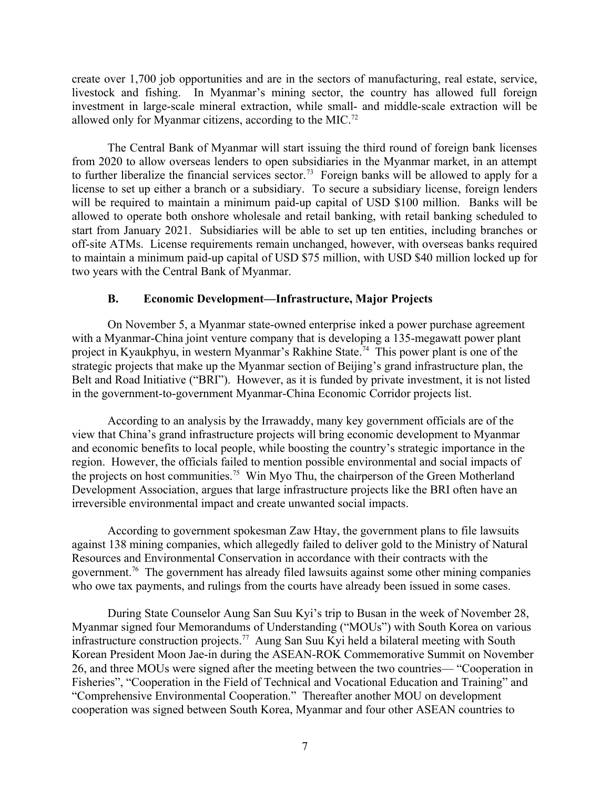create over 1,700 job opportunities and are in the sectors of manufacturing, real estate, service, livestock and fishing. In Myanmar's mining sector, the country has allowed full foreign investment in large-scale mineral extraction, while small- and middle-scale extraction will be allowed only for Myanmar citizens, according to the MIC.<sup>72</sup>

The Central Bank of Myanmar will start issuing the third round of foreign bank licenses from 2020 to allow overseas lenders to open subsidiaries in the Myanmar market, in an attempt to further liberalize the financial services sector.<sup>73</sup> Foreign banks will be allowed to apply for a license to set up either a branch or a subsidiary. To secure a subsidiary license, foreign lenders will be required to maintain a minimum paid-up capital of USD \$100 million. Banks will be allowed to operate both onshore wholesale and retail banking, with retail banking scheduled to start from January 2021. Subsidiaries will be able to set up ten entities, including branches or off-site ATMs. License requirements remain unchanged, however, with overseas banks required to maintain a minimum paid-up capital of USD \$75 million, with USD \$40 million locked up for two years with the Central Bank of Myanmar.

#### <span id="page-6-0"></span>**B. Economic Development—Infrastructure, Major Projects**

On November 5, a Myanmar state-owned enterprise inked a power purchase agreement with a Myanmar-China joint venture company that is developing a 135-megawatt power plant project in Kyaukphyu, in western Myanmar's Rakhine State.<sup>74</sup> This power plant is one of the strategic projects that make up the Myanmar section of Beijing's grand infrastructure plan, the Belt and Road Initiative ("BRI"). However, as it is funded by private investment, it is not listed in the government-to-government Myanmar-China Economic Corridor projects list.

According to an analysis by the Irrawaddy, many key government officials are of the view that China's grand infrastructure projects will bring economic development to Myanmar and economic benefits to local people, while boosting the country's strategic importance in the region. However, the officials failed to mention possible environmental and social impacts of the projects on host communities.<sup>75</sup> Win Myo Thu, the chairperson of the Green Motherland Development Association, argues that large infrastructure projects like the BRI often have an irreversible environmental impact and create unwanted social impacts.

According to government spokesman Zaw Htay, the government plans to file lawsuits against 138 mining companies, which allegedly failed to deliver gold to the Ministry of Natural Resources and Environmental Conservation in accordance with their contracts with the government.<sup>76</sup> The government has already filed lawsuits against some other mining companies who owe tax payments, and rulings from the courts have already been issued in some cases.

During State Counselor Aung San Suu Kyi's trip to Busan in the week of November 28, Myanmar signed four Memorandums of Understanding ("MOUs") with South Korea on various infrastructure construction projects.<sup>77</sup> Aung San Suu Kyi held a bilateral meeting with South Korean President Moon Jae-in during the ASEAN-ROK Commemorative Summit on November 26, and three MOUs were signed after the meeting between the two countries— "Cooperation in Fisheries", "Cooperation in the Field of Technical and Vocational Education and Training" and "Comprehensive Environmental Cooperation." Thereafter another MOU on development cooperation was signed between South Korea, Myanmar and four other ASEAN countries to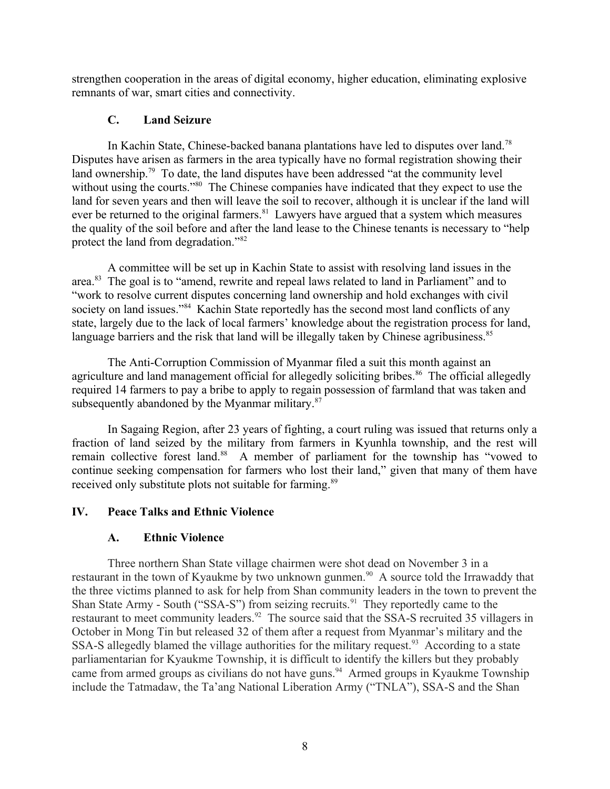strengthen cooperation in the areas of digital economy, higher education, eliminating explosive remnants of war, smart cities and connectivity.

### <span id="page-7-2"></span>**C. Land Seizure**

In Kachin State, Chinese-backed banana plantations have led to disputes over land.<sup>78</sup> Disputes have arisen as farmers in the area typically have no formal registration showing their land ownership.<sup>79</sup> To date, the land disputes have been addressed "at the community level without using the courts."<sup>80</sup> The Chinese companies have indicated that they expect to use the land for seven years and then will leave the soil to recover, although it is unclear if the land will ever be returned to the original farmers.<sup>81</sup> Lawyers have argued that a system which measures the quality of the soil before and after the land lease to the Chinese tenants is necessary to "help protect the land from degradation."<sup>82</sup>

A committee will be set up in Kachin State to assist with resolving land issues in the area.<sup>83</sup> The goal is to "amend, rewrite and repeal laws related to land in Parliament" and to "work to resolve current disputes concerning land ownership and hold exchanges with civil society on land issues."<sup>84</sup> Kachin State reportedly has the second most land conflicts of any state, largely due to the lack of local farmers' knowledge about the registration process for land, language barriers and the risk that land will be illegally taken by Chinese agribusiness.<sup>85</sup>

The Anti-Corruption Commission of Myanmar filed a suit this month against an agriculture and land management official for allegedly soliciting bribes.<sup>86</sup> The official allegedly required 14 farmers to pay a bribe to apply to regain possession of farmland that was taken and subsequently abandoned by the Myanmar military.<sup>87</sup>

In Sagaing Region, after 23 years of fighting, a court ruling was issued that returns only a fraction of land seized by the military from farmers in Kyunhla township, and the rest will remain collective forest land.<sup>88</sup> A member of parliament for the township has "vowed to continue seeking compensation for farmers who lost their land," given that many of them have received only substitute plots not suitable for farming.<sup>89</sup>

## **IV. Peace Talks and Ethnic Violence**

### <span id="page-7-1"></span><span id="page-7-0"></span>**A. Ethnic Violence**

Three northern Shan State village chairmen were shot dead on November 3 in a restaurant in the town of Kyaukme by two unknown gunmen.<sup>90</sup> A source told the Irrawaddy that the three victims planned to ask for help from Shan community leaders in the town to prevent the Shan State Army - South ("SSA-S") from seizing recruits.<sup>91</sup> They reportedly came to the restaurant to meet community leaders.<sup>92</sup> The source said that the SSA-S recruited 35 villagers in October in Mong Tin but released 32 of them after a request from Myanmar's military and the SSA-S allegedly blamed the village authorities for the military request.<sup>93</sup> According to a state parliamentarian for Kyaukme Township, it is difficult to identify the killers but they probably came from armed groups as civilians do not have guns.<sup>94</sup> Armed groups in Kyaukme Township include the Tatmadaw, the Ta'ang National Liberation Army ("TNLA"), SSA-S and the Shan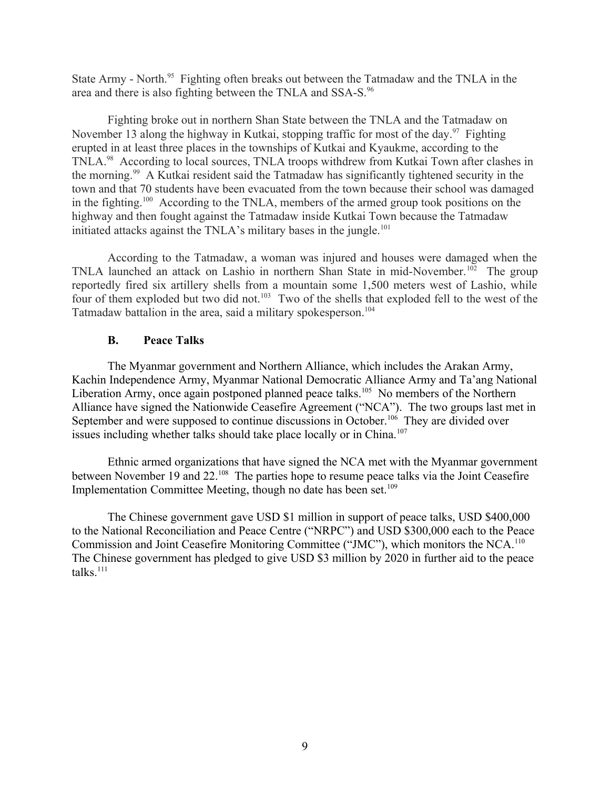State Army - North.<sup>95</sup> Fighting often breaks out between the Tatmadaw and the TNLA in the area and there is also fighting between the TNLA and SSA-S.<sup>96</sup>

Fighting broke out in northern Shan State between the TNLA and the Tatmadaw on November 13 along the highway in Kutkai, stopping traffic for most of the day.<sup>97</sup> Fighting erupted in at least three places in the townships of Kutkai and Kyaukme, according to the TNLA.<sup>98</sup> According to local sources, TNLA troops withdrew from Kutkai Town after clashes in the morning.<sup>99</sup> A Kutkai resident said the Tatmadaw has significantly tightened security in the town and that 70 students have been evacuated from the town because their school was damaged in the fighting.<sup>100</sup> According to the TNLA, members of the armed group took positions on the highway and then fought against the Tatmadaw inside Kutkai Town because the Tatmadaw initiated attacks against the TNLA's military bases in the jungle.<sup>101</sup>

According to the Tatmadaw, a woman was injured and houses were damaged when the TNLA launched an attack on Lashio in northern Shan State in mid-November.<sup>102</sup> The group reportedly fired six artillery shells from a mountain some 1,500 meters west of Lashio, while four of them exploded but two did not.<sup>103</sup> Two of the shells that exploded fell to the west of the Tatmadaw battalion in the area, said a military spokesperson.<sup>104</sup>

#### <span id="page-8-0"></span>**B. Peace Talks**

The Myanmar government and Northern Alliance, which includes the Arakan Army, Kachin Independence Army, Myanmar National Democratic Alliance Army and Ta'ang National Liberation Army, once again postponed planned peace talks.<sup>105</sup> No members of the Northern Alliance have signed the Nationwide Ceasefire Agreement ("NCA"). The two groups last met in September and were supposed to continue discussions in October.<sup>106</sup> They are divided over issues including whether talks should take place locally or in China.<sup>107</sup>

Ethnic armed organizations that have signed the NCA met with the Myanmar government between November 19 and 22.<sup>108</sup> The parties hope to resume peace talks via the Joint Ceasefire Implementation Committee Meeting, though no date has been set.<sup>109</sup>

The Chinese government gave USD \$1 million in support of peace talks, USD \$400,000 to the National Reconciliation and Peace Centre ("NRPC") and USD \$300,000 each to the Peace Commission and Joint Ceasefire Monitoring Committee ("JMC"), which monitors the NCA.<sup>110</sup> The Chinese government has pledged to give USD \$3 million by 2020 in further aid to the peace  $talks.<sup>111</sup>$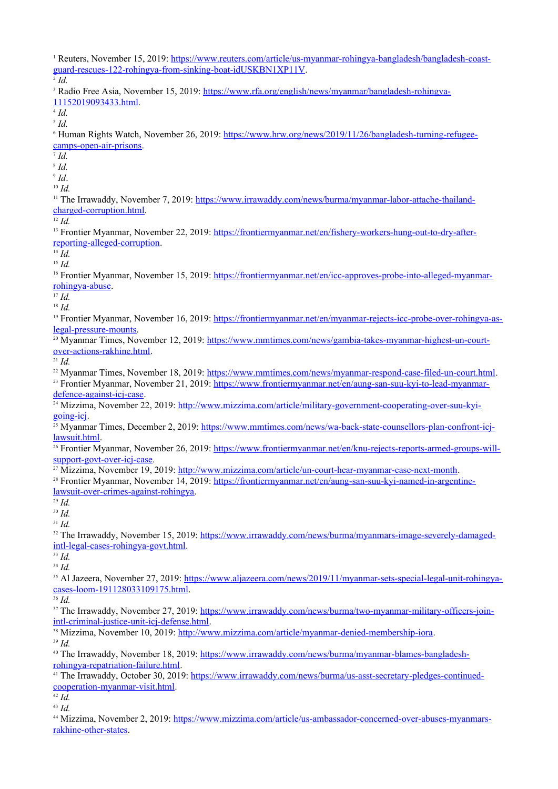<sup>1</sup> Reuters, November 15, 2019: [https://www.reuters.com/article/us-myanmar-rohingya-bangladesh/bangladesh-coast](https://www.reuters.com/article/us-myanmar-rohingya-bangladesh/bangladesh-coast-guard-rescues-122-rohingya-from-sinking-boat-idUSKBN1XP11V)[guard-rescues-122-rohingya-from-sinking-boat-idUSKBN1XP11V.](https://www.reuters.com/article/us-myanmar-rohingya-bangladesh/bangladesh-coast-guard-rescues-122-rohingya-from-sinking-boat-idUSKBN1XP11V) 2 *Id.* <sup>3</sup> Radio Free Asia, November 15, 2019: [https://www.rfa.org/english/news/myanmar/bangladesh-rohingya-](https://www.rfa.org/english/news/myanmar/bangladesh-rohingya-11152019093433.html)[11152019093433.html.](https://www.rfa.org/english/news/myanmar/bangladesh-rohingya-11152019093433.html) 4 *Id.* 5 *Id.* <sup>6</sup> Human Rights Watch, November 26, 2019: [https://www.hrw.org/news/2019/11/26/bangladesh-turning-refugee](https://www.hrw.org/news/2019/11/26/bangladesh-turning-refugee-camps-open-air-prisons)[camps-open-air-prisons](https://www.hrw.org/news/2019/11/26/bangladesh-turning-refugee-camps-open-air-prisons). 7 *Id.* 8 *Id.* 9 *Id*. <sup>10</sup> *Id.* <sup>11</sup> The Irrawaddy, November 7, 2019: [https://www.irrawaddy.com/news/burma/myanmar-labor-attache-thailand](https://www.irrawaddy.com/news/burma/myanmar-labor-attache-thailand-charged-corruption.html)[charged-corruption.html](https://www.irrawaddy.com/news/burma/myanmar-labor-attache-thailand-charged-corruption.html). <sup>12</sup> *Id.* <sup>13</sup> Frontier Myanmar, November 22, 2019: [https://frontiermyanmar.net/en/fishery-workers-hung-out-to-dry-after](https://frontiermyanmar.net/en/fishery-workers-hung-out-to-dry-after-reporting-alleged-corruption)[reporting-alleged-corruption.](https://frontiermyanmar.net/en/fishery-workers-hung-out-to-dry-after-reporting-alleged-corruption)  $^{14}$  *Id*. <sup>15</sup> *Id.* <sup>16</sup> Frontier Myanmar, November 15, 2019: [https://frontiermyanmar.net/en/icc-approves-probe-into-alleged-myanmar](https://frontiermyanmar.net/en/icc-approves-probe-into-alleged-myanmar-rohingya-abuse)[rohingya-abuse](https://frontiermyanmar.net/en/icc-approves-probe-into-alleged-myanmar-rohingya-abuse). <sup>17</sup> *Id.* <sup>18</sup> *Id.* 19 Frontier Myanmar, November 16, 2019: [https://frontiermyanmar.net/en/myanmar-rejects-icc-probe-over-rohingya-as](https://frontiermyanmar.net/en/myanmar-rejects-icc-probe-over-rohingya-as-legal-pressure-mounts)[legal-pressure-mounts.](https://frontiermyanmar.net/en/myanmar-rejects-icc-probe-over-rohingya-as-legal-pressure-mounts) <sup>20</sup> Myanmar Times, November 12, 2019: [https://www.mmtimes.com/news/gambia-takes-myanmar-highest-un-court](https://www.mmtimes.com/news/gambia-takes-myanmar-highest-un-court-over-actions-rakhine.html)[over-actions-rakhine.html](https://www.mmtimes.com/news/gambia-takes-myanmar-highest-un-court-over-actions-rakhine.html). <sup>21</sup> *Id.* <sup>22</sup> Myanmar Times, November 18, 2019: [https://www.mmtimes.com/news/myanmar-respond-case-filed-un-court.html.](https://www.mmtimes.com/news/myanmar-respond-case-filed-un-court.html) <sup>23</sup> Frontier Myanmar, November 21, 2019: [https://www.frontiermyanmar.net/en/aung-san-suu-kyi-to-lead-myanmar](https://www.frontiermyanmar.net/en/aung-san-suu-kyi-to-lead-myanmar-defence-against-icj-case)[defence-against-icj-case](https://www.frontiermyanmar.net/en/aung-san-suu-kyi-to-lead-myanmar-defence-against-icj-case). <sup>24</sup> Mizzima, November 22, 2019: [http://www.mizzima.com/article/military-government-cooperating-over-suu-kyi](http://www.mizzima.com/article/military-government-cooperating-over-suu-kyi-going-icj)[going-icj.](http://www.mizzima.com/article/military-government-cooperating-over-suu-kyi-going-icj) <sup>25</sup> Myanmar Times, December 2, 2019: [https://www.mmtimes.com/news/wa-back-state-counsellors-plan-confront-icj](https://www.mmtimes.com/news/wa-back-state-counsellors-plan-confront-icj-lawsuit.html)[lawsuit.html](https://www.mmtimes.com/news/wa-back-state-counsellors-plan-confront-icj-lawsuit.html). <sup>26</sup> Frontier Myanmar, November 26, 2019: [https://www.frontiermyanmar.net/en/knu-rejects-reports-armed-groups-will](https://www.frontiermyanmar.net/en/knu-rejects-reports-armed-groups-will-support-govt-over-icj-case)[support-govt-over-icj-case.](https://www.frontiermyanmar.net/en/knu-rejects-reports-armed-groups-will-support-govt-over-icj-case) <sup>27</sup> Mizzima, November 19, 2019:<http://www.mizzima.com/article/un-court-hear-myanmar-case-next-month>. 28 Frontier Myanmar, November 14, 2019: [https://frontiermyanmar.net/en/aung-san-suu-kyi-named-in-argentine](https://frontiermyanmar.net/en/aung-san-suu-kyi-named-in-argentine-lawsuit-over-crimes-against-rohingya)[lawsuit-over-crimes-against-rohingya](https://frontiermyanmar.net/en/aung-san-suu-kyi-named-in-argentine-lawsuit-over-crimes-against-rohingya). <sup>29</sup> *Id.* <sup>30</sup> *Id.* <sup>31</sup> *Id.* <sup>32</sup> The Irrawaddy, November 15, 2019: [https://www.irrawaddy.com/news/burma/myanmars-image-severely-damaged](https://www.irrawaddy.com/news/burma/myanmars-image-severely-damaged-intl-legal-cases-rohingya-govt.html)[intl-legal-cases-rohingya-govt.html](https://www.irrawaddy.com/news/burma/myanmars-image-severely-damaged-intl-legal-cases-rohingya-govt.html). <sup>33</sup> *Id.* <sup>34</sup> *Id.* <sup>35</sup> Al Jazeera, November 27, 2019: [https://www.aljazeera.com/news/2019/11/myanmar-sets-special-legal-unit-rohingya](https://www.aljazeera.com/news/2019/11/myanmar-sets-special-legal-unit-rohingya-cases-loom-191128033109175.html)[cases-loom-191128033109175.html](https://www.aljazeera.com/news/2019/11/myanmar-sets-special-legal-unit-rohingya-cases-loom-191128033109175.html). <sup>36</sup> *Id.* <sup>37</sup> The Irrawaddy, November 27, 2019: [https://www.irrawaddy.com/news/burma/two-myanmar-military-officers-join](https://www.irrawaddy.com/news/burma/two-myanmar-military-officers-join-intl-criminal-justice-unit-icj-defense.html)[intl-criminal-justice-unit-icj-defense.html](https://www.irrawaddy.com/news/burma/two-myanmar-military-officers-join-intl-criminal-justice-unit-icj-defense.html). <sup>38</sup> Mizzima, November 10, 2019:<http://www.mizzima.com/article/myanmar-denied-membership-iora>. <sup>39</sup> *Id.* 40 The Irrawaddy, November 18, 2019: [https://www.irrawaddy.com/news/burma/myanmar-blames-bangladesh](https://www.irrawaddy.com/news/burma/myanmar-blames-bangladesh-rohingya-repatriation-failure.html)[rohingya-repatriation-failure.html](https://www.irrawaddy.com/news/burma/myanmar-blames-bangladesh-rohingya-repatriation-failure.html). <sup>41</sup> The Irrawaddy, October 30, 2019: [https://www.irrawaddy.com/news/burma/us-asst-secretary-pledges-continued](https://www.irrawaddy.com/news/burma/us-asst-secretary-pledges-continued-cooperation-myanmar-visit.html)[cooperation-myanmar-visit.html](https://www.irrawaddy.com/news/burma/us-asst-secretary-pledges-continued-cooperation-myanmar-visit.html).  $42$   $Id$ .

<sup>43</sup> *Id.*

<sup>44</sup> Mizzima, November 2, 2019: [https://www.mizzima.com/article/us-ambassador-concerned-over-abuses-myanmars](https://www.mizzima.com/article/us-ambassador-concerned-over-abuses-myanmars-rakhine-other-states)[rakhine-other-states](https://www.mizzima.com/article/us-ambassador-concerned-over-abuses-myanmars-rakhine-other-states).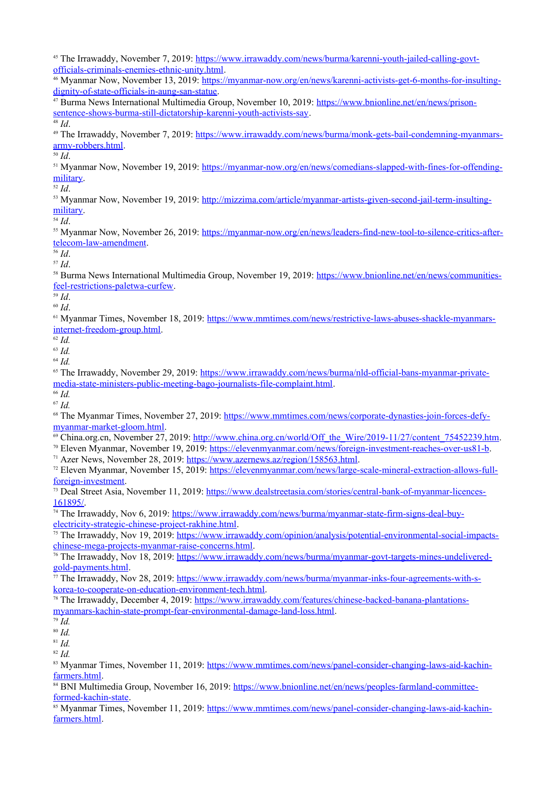45 The Irrawaddy, November 7, 2019: [https://www.irrawaddy.com/news/burma/karenni-youth-jailed-calling-govt](https://www.irrawaddy.com/news/burma/karenni-youth-jailed-calling-govt-officials-criminals-enemies-ethnic-unity.html)[officials-criminals-enemies-ethnic-unity.html.](https://www.irrawaddy.com/news/burma/karenni-youth-jailed-calling-govt-officials-criminals-enemies-ethnic-unity.html)

46 Myanmar Now, November 13, 2019: [https://myanmar-now.org/en/news/karenni-activists-get-6-months-for-insulting](https://myanmar-now.org/en/news/karenni-activists-get-6-months-for-insulting-dignity-of-state-officials-in-aung-san-statue)[dignity-of-state-officials-in-aung-san-statue.](https://myanmar-now.org/en/news/karenni-activists-get-6-months-for-insulting-dignity-of-state-officials-in-aung-san-statue)

47 Burma News International Multimedia Group, November 10, 2019: [https://www.bnionline.net/en/news/prison](https://www.bnionline.net/en/news/prison-sentence-shows-burma-still-dictatorship-karenni-youth-activists-say)[sentence-shows-burma-still-dictatorship-karenni-youth-activists-say.](https://www.bnionline.net/en/news/prison-sentence-shows-burma-still-dictatorship-karenni-youth-activists-say)

<sup>48</sup> *Id*.

<sup>49</sup> The Irrawaddy, November 7, 2019: [https://www.irrawaddy.com/news/burma/monk-gets-bail-condemning-myanmars](https://www.irrawaddy.com/news/burma/monk-gets-bail-condemning-myanmars-army-robbers.html)[army-robbers.html](https://www.irrawaddy.com/news/burma/monk-gets-bail-condemning-myanmars-army-robbers.html). <sup>50</sup> *Id*.

51 Myanmar Now, November 19, 2019: [https://myanmar-now.org/en/news/comedians-slapped-with-fines-for-offending](https://myanmar-now.org/en/news/comedians-slapped-with-fines-for-offending-military)[military](https://myanmar-now.org/en/news/comedians-slapped-with-fines-for-offending-military).

<sup>52</sup> *Id*.

53 Myanmar Now, November 19, 2019: [http://mizzima.com/article/myanmar-artists-given-second-jail-term-insulting](http://mizzima.com/article/myanmar-artists-given-second-jail-term-insulting-military)[military](http://mizzima.com/article/myanmar-artists-given-second-jail-term-insulting-military).

<sup>54</sup> *Id*.

<sup>55</sup> Myanmar Now, November 26, 2019: [https://myanmar-now.org/en/news/leaders-find-new-tool-to-silence-critics-after](https://myanmar-now.org/en/news/leaders-find-new-tool-to-silence-critics-after-telecom-law-amendment)[telecom-law-amendment](https://myanmar-now.org/en/news/leaders-find-new-tool-to-silence-critics-after-telecom-law-amendment).

<sup>56</sup> *Id*.

<sup>57</sup> *Id*.

58 Burma News International Multimedia Group, November 19, 2019: [https://www.bnionline.net/en/news/communities](https://www.bnionline.net/en/news/communities-feel-restrictions-paletwa-curfew)[feel-restrictions-paletwa-curfew](https://www.bnionline.net/en/news/communities-feel-restrictions-paletwa-curfew).

<sup>59</sup> *Id*.

<sup>60</sup> *Id*.

61 Myanmar Times, November 18, 2019: [https://www.mmtimes.com/news/restrictive-laws-abuses-shackle-myanmars](https://www.mmtimes.com/news/restrictive-laws-abuses-shackle-myanmars-internet-freedom-group.html)[internet-freedom-group.html](https://www.mmtimes.com/news/restrictive-laws-abuses-shackle-myanmars-internet-freedom-group.html).

<sup>62</sup> *Id.*

<sup>63</sup> *Id.*

<sup>64</sup> *Id.*

<sup>65</sup> The Irrawaddy, November 29, 2019: [https://www.irrawaddy.com/news/burma/nld-official-bans-myanmar-private](https://www.irrawaddy.com/news/burma/nld-official-bans-myanmar-private-media-state-ministers-public-meeting-bago-journalists-file-complaint.html)[media-state-ministers-public-meeting-bago-journalists-file-complaint.html](https://www.irrawaddy.com/news/burma/nld-official-bans-myanmar-private-media-state-ministers-public-meeting-bago-journalists-file-complaint.html).

<sup>66</sup> *Id.* <sup>67</sup> *Id.*

68 The Myanmar Times, November 27, 2019: [https://www.mmtimes.com/news/corporate-dynasties-join-forces-defy](https://www.mmtimes.com/news/corporate-dynasties-join-forces-defy-myanmar-market-gloom.html)[myanmar-market-gloom.html](https://www.mmtimes.com/news/corporate-dynasties-join-forces-defy-myanmar-market-gloom.html).

 $^{69}$  China.org.cn, November 27, 2019: [http://www.china.org.cn/world/Off\\_the\\_Wire/2019-11/27/content\\_75452239.htm.](http://www.china.org.cn/world/Off_the_Wire/2019-11/27/content_75452239.htm)

<sup>70</sup> Eleven Myanmar, November 19, 2019: <https://elevenmyanmar.com/news/foreign-investment-reaches-over-us81-b>.

<sup>71</sup> Azer News, November 28, 2019: [https://www.azernews.az/region/158563.html.](https://www.azernews.az/region/158563.html)

72 Eleven Myanmar, November 15, 2019: [https://elevenmyanmar.com/news/large-scale-mineral-extraction-allows-full](https://elevenmyanmar.com/news/large-scale-mineral-extraction-allows-full-foreign-investment)[foreign-investment.](https://elevenmyanmar.com/news/large-scale-mineral-extraction-allows-full-foreign-investment)

73 Deal Street Asia, November 11, 2019: [https://www.dealstreetasia.com/stories/central-bank-of-myanmar-licences-](https://www.dealstreetasia.com/stories/central-bank-of-myanmar-licences-161895/)[161895/.](https://www.dealstreetasia.com/stories/central-bank-of-myanmar-licences-161895/)

74 The Irrawaddy, Nov 6, 2019: [https://www.irrawaddy.com/news/burma/myanmar-state-firm-signs-deal-buy](https://www.irrawaddy.com/news/burma/myanmar-state-firm-signs-deal-buy-electricity-strategic-chinese-project-rakhine.html)[electricity-strategic-chinese-project-rakhine.html.](https://www.irrawaddy.com/news/burma/myanmar-state-firm-signs-deal-buy-electricity-strategic-chinese-project-rakhine.html)

<sup>75</sup> The Irrawaddy, Nov 19, 2019: [https://www.irrawaddy.com/opinion/analysis/potential-environmental-social-impacts](https://www.irrawaddy.com/opinion/analysis/potential-environmental-social-impacts-chinese-mega-projects-myanmar-raise-concerns.html)[chinese-mega-projects-myanmar-raise-concerns.html.](https://www.irrawaddy.com/opinion/analysis/potential-environmental-social-impacts-chinese-mega-projects-myanmar-raise-concerns.html)

<sup>76</sup> The Irrawaddy, Nov 18, 2019: [https://www.irrawaddy.com/news/burma/myanmar-govt-targets-mines-undelivered](https://www.irrawaddy.com/news/burma/myanmar-govt-targets-mines-undelivered-gold-payments.html)[gold-payments.html](https://www.irrawaddy.com/news/burma/myanmar-govt-targets-mines-undelivered-gold-payments.html).

 $\frac{7}{7}$  The Irrawaddy, Nov 28, 2019: [https://www.irrawaddy.com/news/burma/myanmar-inks-four-agreements-with-s](https://www.irrawaddy.com/news/burma/myanmar-inks-four-agreements-with-s-korea-to-cooperate-on-education-environment-tech.html)[korea-to-cooperate-on-education-environment-tech.html.](https://www.irrawaddy.com/news/burma/myanmar-inks-four-agreements-with-s-korea-to-cooperate-on-education-environment-tech.html)

78 The Irrawaddy, December 4, 2019: [https://www.irrawaddy.com/features/chinese-backed-banana-plantations](https://www.irrawaddy.com/features/chinese-backed-banana-plantations-myanmars-kachin-state-prompt-fear-environmental-damage-land-loss.html)[myanmars-kachin-state-prompt-fear-environmental-damage-land-loss.html](https://www.irrawaddy.com/features/chinese-backed-banana-plantations-myanmars-kachin-state-prompt-fear-environmental-damage-land-loss.html).

<sup>79</sup> *Id.*

<sup>80</sup> *Id.*

<sup>81</sup> *Id.*

<sup>82</sup> *Id.*

<sup>83</sup> Myanmar Times, November 11, 2019: [https://www.mmtimes.com/news/panel-consider-changing-laws-aid-kachin](https://www.mmtimes.com/news/panel-consider-changing-laws-aid-kachin-farmers.html)[farmers.html](https://www.mmtimes.com/news/panel-consider-changing-laws-aid-kachin-farmers.html).

<sup>84</sup> BNI Multimedia Group, November 16, 2019: [https://www.bnionline.net/en/news/peoples-farmland-committee](https://www.bnionline.net/en/news/peoples-farmland-committee-formed-kachin-state)[formed-kachin-state](https://www.bnionline.net/en/news/peoples-farmland-committee-formed-kachin-state).

85 Myanmar Times, November 11, 2019: [https://www.mmtimes.com/news/panel-consider-changing-laws-aid-kachin](https://www.mmtimes.com/news/panel-consider-changing-laws-aid-kachin-farmers.html)[farmers.html](https://www.mmtimes.com/news/panel-consider-changing-laws-aid-kachin-farmers.html).